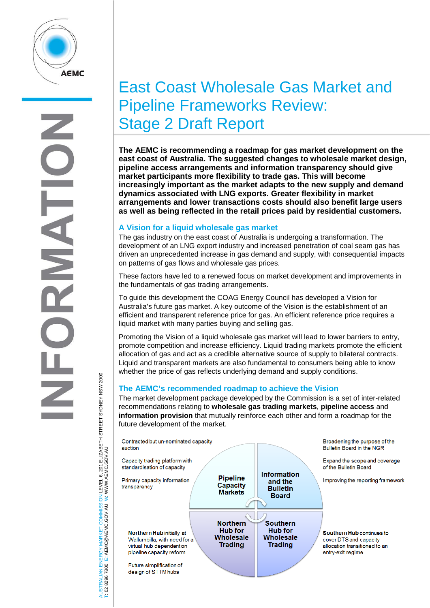

# East Coast Wholesale Gas Market and Pipeline Frameworks Review: Stage 2 Draft Report

**The AEMC is recommending a roadmap for gas market development on the east coast of Australia. The suggested changes to wholesale market design, pipeline access arrangements and information transparency should give market participants more flexibility to trade gas. This will become increasingly important as the market adapts to the new supply and demand dynamics associated with LNG exports. Greater flexibility in market arrangements and lower transactions costs should also benefit large users as well as being reflected in the retail prices paid by residential customers.**

# **A Vision for a liquid wholesale gas market**

The gas industry on the east coast of Australia is undergoing a transformation. The development of an LNG export industry and increased penetration of coal seam gas has driven an unprecedented increase in gas demand and supply, with consequential impacts on patterns of gas flows and wholesale gas prices.

These factors have led to a renewed focus on market development and improvements in the fundamentals of gas trading arrangements.

To guide this development the COAG Energy Council has developed a Vision for Australia's future gas market. A key outcome of the Vision is the establishment of an efficient and transparent reference price for gas. An efficient reference price requires a liquid market with many parties buying and selling gas.

Promoting the Vision of a liquid wholesale gas market will lead to lower barriers to entry, promote competition and increase efficiency. Liquid trading markets promote the efficient allocation of gas and act as a credible alternative source of supply to bilateral contracts. Liquid and transparent markets are also fundamental to consumers being able to know whether the price of gas reflects underlying demand and supply conditions.

# **The AEMC's recommended roadmap to achieve the Vision**

The market development package developed by the Commission is a set of inter-related recommendations relating to **wholesale gas trading markets**, **pipeline access** and **information provision** that mutually reinforce each other and form a roadmap for the future development of the market.



VERGY MARKET COMMISSION LEVEL 6, 201 ELIZABETH STREET SYDNEY NSW 2000<br>E: AEMC@AEMC.GOV.AU W: WWW AEMC.GOV.AU AUSTRALIAN ENERGY MARKET COMMISSION LEVEL 6, 201 ELIZABETH STREET SYDNEY NSW 2000 W: WWW.AEMC.GOV.AU T: 02 8296 7800 E: AEMC@AEMC.GOV.AU 8296 7800 RALIAN

**ISL** i si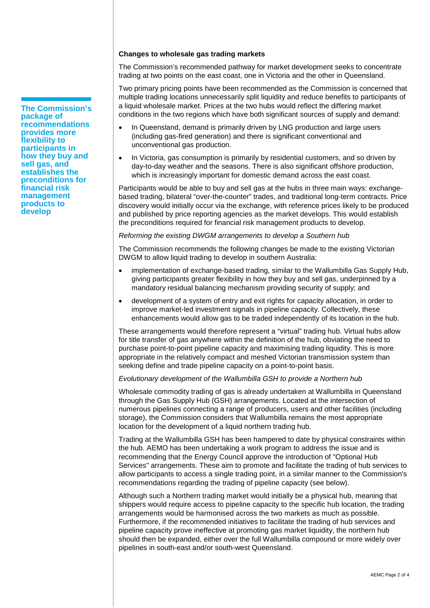#### **Changes to wholesale gas trading markets**

The Commission's recommended pathway for market development seeks to concentrate trading at two points on the east coast, one in Victoria and the other in Queensland.

Two primary pricing points have been recommended as the Commission is concerned that multiple trading locations unnecessarily split liquidity and reduce benefits to participants of a liquid wholesale market. Prices at the two hubs would reflect the differing market conditions in the two regions which have both significant sources of supply and demand:

- In Queensland, demand is primarily driven by LNG production and large users (including gas-fired generation) and there is significant conventional and unconventional gas production.
- In Victoria, gas consumption is primarily by residential customers, and so driven by day-to-day weather and the seasons. There is also significant offshore production, which is increasingly important for domestic demand across the east coast.

Participants would be able to buy and sell gas at the hubs in three main ways: exchangebased trading, bilateral "over-the-counter" trades, and traditional long-term contracts. Price discovery would initially occur via the exchange, with reference prices likely to be produced and published by price reporting agencies as the market develops. This would establish the preconditions required for financial risk management products to develop.

#### *Reforming the existing DWGM arrangements to develop a Southern hub*

The Commission recommends the following changes be made to the existing Victorian DWGM to allow liquid trading to develop in southern Australia:

- implementation of exchange-based trading, similar to the Wallumbilla Gas Supply Hub, giving participants greater flexibility in how they buy and sell gas, underpinned by a mandatory residual balancing mechanism providing security of supply; and
- development of a system of entry and exit rights for capacity allocation, in order to improve market-led investment signals in pipeline capacity. Collectively, these enhancements would allow gas to be traded independently of its location in the hub.

These arrangements would therefore represent a "virtual" trading hub. Virtual hubs allow for title transfer of gas anywhere within the definition of the hub, obviating the need to purchase point-to-point pipeline capacity and maximising trading liquidity. This is more appropriate in the relatively compact and meshed Victorian transmission system than seeking define and trade pipeline capacity on a point-to-point basis.

#### *Evolutionary development of the Wallumbilla GSH to provide a Northern hub*

Wholesale commodity trading of gas is already undertaken at Wallumbilla in Queensland through the Gas Supply Hub (GSH) arrangements. Located at the intersection of numerous pipelines connecting a range of producers, users and other facilities (including storage), the Commission considers that Wallumbilla remains the most appropriate location for the development of a liquid northern trading hub.

Trading at the Wallumbilla GSH has been hampered to date by physical constraints within the hub. AEMO has been undertaking a work program to address the issue and is recommending that the Energy Council approve the introduction of "Optional Hub Services" arrangements. These aim to promote and facilitate the trading of hub services to allow participants to access a single trading point, in a similar manner to the Commission's recommendations regarding the trading of pipeline capacity (see below).

Although such a Northern trading market would initially be a physical hub, meaning that shippers would require access to pipeline capacity to the specific hub location, the trading arrangements would be harmonised across the two markets as much as possible. Furthermore, if the recommended initiatives to facilitate the trading of hub services and pipeline capacity prove ineffective at promoting gas market liquidity, the northern hub should then be expanded, either over the full Wallumbilla compound or more widely over pipelines in south-east and/or south-west Queensland.

**The Commission's package of recommendations provides more flexibility to participants in how they buy and sell gas, and establishes the preconditions for financial risk management products to develop**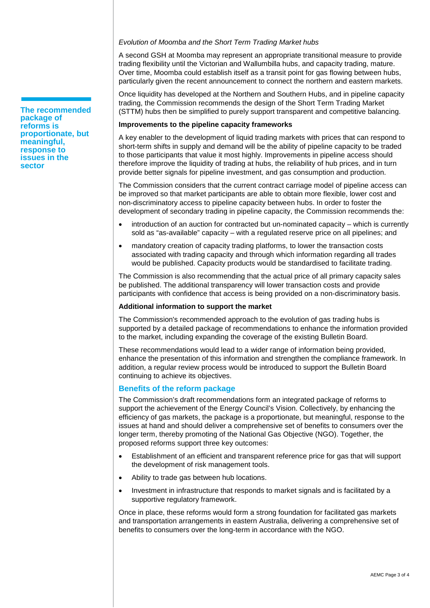## *Evolution of Moomba and the Short Term Trading Market hubs*

A second GSH at Moomba may represent an appropriate transitional measure to provide trading flexibility until the Victorian and Wallumbilla hubs, and capacity trading, mature. Over time, Moomba could establish itself as a transit point for gas flowing between hubs, particularly given the recent announcement to connect the northern and eastern markets.

Once liquidity has developed at the Northern and Southern Hubs, and in pipeline capacity trading, the Commission recommends the design of the Short Term Trading Market (STTM) hubs then be simplified to purely support transparent and competitive balancing.

#### **Improvements to the pipeline capacity frameworks**

A key enabler to the development of liquid trading markets with prices that can respond to short-term shifts in supply and demand will be the ability of pipeline capacity to be traded to those participants that value it most highly. Improvements in pipeline access should therefore improve the liquidity of trading at hubs, the reliability of hub prices, and in turn provide better signals for pipeline investment, and gas consumption and production.

The Commission considers that the current contract carriage model of pipeline access can be improved so that market participants are able to obtain more flexible, lower cost and non-discriminatory access to pipeline capacity between hubs. In order to foster the development of secondary trading in pipeline capacity, the Commission recommends the:

- introduction of an auction for contracted but un-nominated capacity which is currently sold as "as-available" capacity – with a regulated reserve price on all pipelines; and
- mandatory creation of capacity trading platforms, to lower the transaction costs associated with trading capacity and through which information regarding all trades would be published. Capacity products would be standardised to facilitate trading.

The Commission is also recommending that the actual price of all primary capacity sales be published. The additional transparency will lower transaction costs and provide participants with confidence that access is being provided on a non-discriminatory basis.

### **Additional information to support the market**

The Commission's recommended approach to the evolution of gas trading hubs is supported by a detailed package of recommendations to enhance the information provided to the market, including expanding the coverage of the existing Bulletin Board.

These recommendations would lead to a wider range of information being provided, enhance the presentation of this information and strengthen the compliance framework. In addition, a regular review process would be introduced to support the Bulletin Board continuing to achieve its objectives.

# **Benefits of the reform package**

The Commission's draft recommendations form an integrated package of reforms to support the achievement of the Energy Council's Vision. Collectively, by enhancing the efficiency of gas markets, the package is a proportionate, but meaningful, response to the issues at hand and should deliver a comprehensive set of benefits to consumers over the longer term, thereby promoting of the National Gas Objective (NGO). Together, the proposed reforms support three key outcomes:

- Establishment of an efficient and transparent reference price for gas that will support the development of risk management tools.
- Ability to trade gas between hub locations.
- Investment in infrastructure that responds to market signals and is facilitated by a supportive regulatory framework.

Once in place, these reforms would form a strong foundation for facilitated gas markets and transportation arrangements in eastern Australia, delivering a comprehensive set of benefits to consumers over the long-term in accordance with the NGO.

**The recommended package of reforms is proportionate, but meaningful, response to issues in the sector**